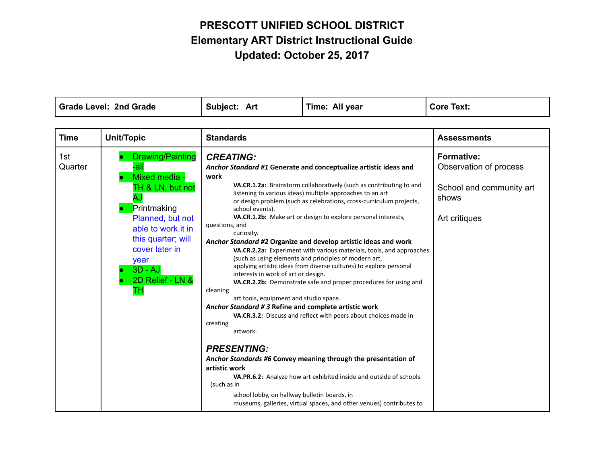$\mathbf{I}$ 

| <b>Grade Level: 2nd Grade</b> |                                                                                                                                                                                                                            | Subject: Art                                                                                                                                                                                                                                                                                                                                                    | Time: All year                                                                                                                                                                                                                                                                                                                                                                                                                                                                                                                                                                                                                                                                                                                                                                                                                                                                                                                                                                | <b>Core Text:</b>                                                                                 |
|-------------------------------|----------------------------------------------------------------------------------------------------------------------------------------------------------------------------------------------------------------------------|-----------------------------------------------------------------------------------------------------------------------------------------------------------------------------------------------------------------------------------------------------------------------------------------------------------------------------------------------------------------|-------------------------------------------------------------------------------------------------------------------------------------------------------------------------------------------------------------------------------------------------------------------------------------------------------------------------------------------------------------------------------------------------------------------------------------------------------------------------------------------------------------------------------------------------------------------------------------------------------------------------------------------------------------------------------------------------------------------------------------------------------------------------------------------------------------------------------------------------------------------------------------------------------------------------------------------------------------------------------|---------------------------------------------------------------------------------------------------|
|                               |                                                                                                                                                                                                                            |                                                                                                                                                                                                                                                                                                                                                                 |                                                                                                                                                                                                                                                                                                                                                                                                                                                                                                                                                                                                                                                                                                                                                                                                                                                                                                                                                                               |                                                                                                   |
| <b>Time</b>                   | <b>Unit/Topic</b>                                                                                                                                                                                                          | <b>Standards</b>                                                                                                                                                                                                                                                                                                                                                |                                                                                                                                                                                                                                                                                                                                                                                                                                                                                                                                                                                                                                                                                                                                                                                                                                                                                                                                                                               | <b>Assessments</b>                                                                                |
| 1st<br>Quarter                | <b>Drawing/Painting</b><br>-all<br>Mixed media -<br>TH & LN, but not<br>A.<br>Printmaking<br>Planned, but not<br>able to work it in<br>this quarter; will<br>cover later in<br>year<br>$3D - AJ$<br>2D Relief - LN &<br>TН | <b>CREATING:</b><br>work<br>school events).<br>questions, and<br>curiosity.<br>interests in work of art or design.<br>cleaning<br>art tools, equipment and studio space.<br>Anchor Standard # 3 Refine and complete artistic work<br>creating<br>artwork.<br><b>PRESENTING:</b><br>artistic work<br>(such as in<br>school lobby, on hallway bulletin boards, in | Anchor Standard #1 Generate and conceptualize artistic ideas and<br>VA.CR.1.2a: Brainstorm collaboratively (such as contributing to and<br>listening to various ideas) multiple approaches to an art<br>or design problem (such as celebrations, cross-curriculum projects,<br>VA.CR.1.2b: Make art or design to explore personal interests,<br>Anchor Standard #2 Organize and develop artistic ideas and work<br>VA.CR.2.2a: Experiment with various materials, tools, and approaches<br>(such as using elements and principles of modern art,<br>applying artistic ideas from diverse cultures) to explore personal<br>VA.CR.2.2b: Demonstrate safe and proper procedures for using and<br>VA.CR.3.2: Discuss and reflect with peers about choices made in<br>Anchor Standards #6 Convey meaning through the presentation of<br>VA.PR.6.2: Analyze how art exhibited inside and outside of schools<br>museums, galleries, virtual spaces, and other venues) contributes to | <b>Formative:</b><br>Observation of process<br>School and community art<br>shows<br>Art critiques |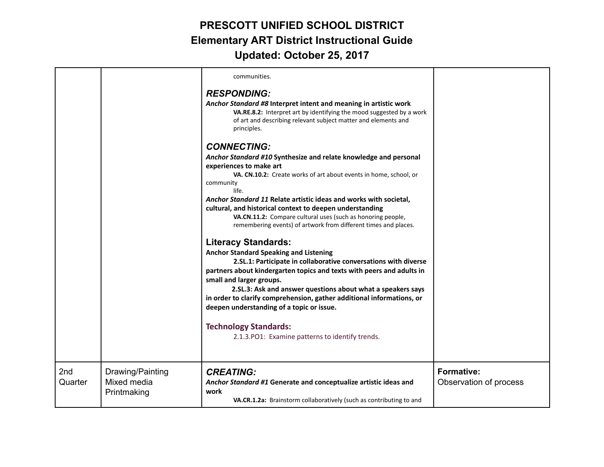|                |                                                | communities.                                                                                                                                                                                                                                                                                                                                                                                                                                                                                                                 |                                             |
|----------------|------------------------------------------------|------------------------------------------------------------------------------------------------------------------------------------------------------------------------------------------------------------------------------------------------------------------------------------------------------------------------------------------------------------------------------------------------------------------------------------------------------------------------------------------------------------------------------|---------------------------------------------|
|                |                                                | <b>RESPONDING:</b><br>Anchor Standard #8 Interpret intent and meaning in artistic work<br>VA.RE.8.2: Interpret art by identifying the mood suggested by a work<br>of art and describing relevant subject matter and elements and<br>principles.                                                                                                                                                                                                                                                                              |                                             |
|                |                                                | <b>CONNECTING:</b><br>Anchor Standard #10 Synthesize and relate knowledge and personal<br>experiences to make art<br>VA. CN.10.2: Create works of art about events in home, school, or<br>community<br>life.<br>Anchor Standard 11 Relate artistic ideas and works with societal,<br>cultural, and historical context to deepen understanding<br>VA.CN.11.2: Compare cultural uses (such as honoring people,<br>remembering events) of artwork from different times and places.                                              |                                             |
|                |                                                | <b>Literacy Standards:</b><br><b>Anchor Standard Speaking and Listening</b><br>2.SL.1: Participate in collaborative conversations with diverse<br>partners about kindergarten topics and texts with peers and adults in<br>small and larger groups.<br>2.SL.3: Ask and answer questions about what a speakers says<br>in order to clarify comprehension, gather additional informations, or<br>deepen understanding of a topic or issue.<br><b>Technology Standards:</b><br>2.1.3. PO1: Examine patterns to identify trends. |                                             |
| 2nd<br>Quarter | Drawing/Painting<br>Mixed media<br>Printmaking | <b>CREATING:</b><br>Anchor Standard #1 Generate and conceptualize artistic ideas and<br>work<br>VA.CR.1.2a: Brainstorm collaboratively (such as contributing to and                                                                                                                                                                                                                                                                                                                                                          | <b>Formative:</b><br>Observation of process |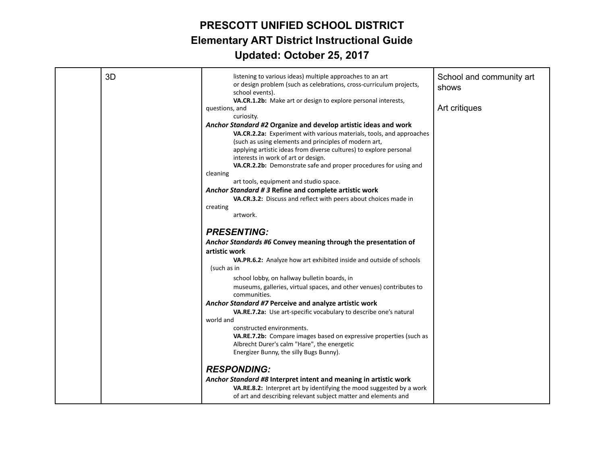| 3D | listening to various ideas) multiple approaches to an art<br>or design problem (such as celebrations, cross-curriculum projects,<br>school events).<br>VA.CR.1.2b: Make art or design to explore personal interests,<br>questions, and<br>curiosity.<br>Anchor Standard #2 Organize and develop artistic ideas and work<br>VA.CR.2.2a: Experiment with various materials, tools, and approaches<br>(such as using elements and principles of modern art,<br>applying artistic ideas from diverse cultures) to explore personal<br>interests in work of art or design.<br>VA.CR.2.2b: Demonstrate safe and proper procedures for using and<br>cleaning<br>art tools, equipment and studio space.<br>Anchor Standard #3 Refine and complete artistic work<br>VA.CR.3.2: Discuss and reflect with peers about choices made in<br>creating<br>artwork.<br><b>PRESENTING:</b><br>Anchor Standards #6 Convey meaning through the presentation of<br>artistic work<br>VA.PR.6.2: Analyze how art exhibited inside and outside of schools<br>(such as in<br>school lobby, on hallway bulletin boards, in<br>museums, galleries, virtual spaces, and other venues) contributes to<br>communities.<br>Anchor Standard #7 Perceive and analyze artistic work<br>VA.RE.7.2a: Use art-specific vocabulary to describe one's natural<br>world and<br>constructed environments.<br>VA.RE.7.2b: Compare images based on expressive properties (such as<br>Albrecht Durer's calm "Hare", the energetic<br>Energizer Bunny, the silly Bugs Bunny). | School and community art<br>shows<br>Art critiques |
|----|----------------------------------------------------------------------------------------------------------------------------------------------------------------------------------------------------------------------------------------------------------------------------------------------------------------------------------------------------------------------------------------------------------------------------------------------------------------------------------------------------------------------------------------------------------------------------------------------------------------------------------------------------------------------------------------------------------------------------------------------------------------------------------------------------------------------------------------------------------------------------------------------------------------------------------------------------------------------------------------------------------------------------------------------------------------------------------------------------------------------------------------------------------------------------------------------------------------------------------------------------------------------------------------------------------------------------------------------------------------------------------------------------------------------------------------------------------------------------------------------------------------------------------|----------------------------------------------------|
|    | <b>RESPONDING:</b><br>Anchor Standard #8 Interpret intent and meaning in artistic work<br>VA.RE.8.2: Interpret art by identifying the mood suggested by a work<br>of art and describing relevant subject matter and elements and                                                                                                                                                                                                                                                                                                                                                                                                                                                                                                                                                                                                                                                                                                                                                                                                                                                                                                                                                                                                                                                                                                                                                                                                                                                                                                 |                                                    |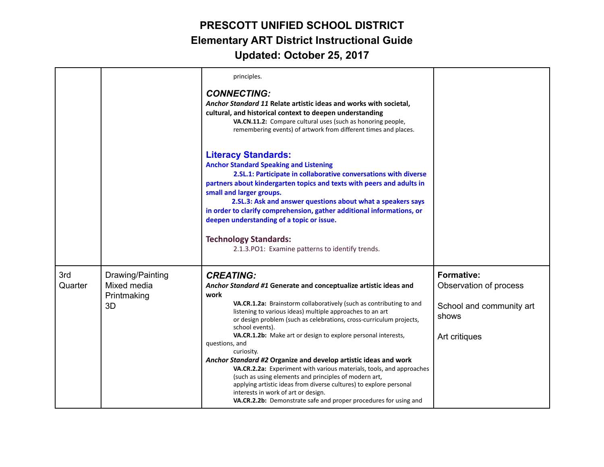|                |                                                      | principles.<br><b>CONNECTING:</b><br>Anchor Standard 11 Relate artistic ideas and works with societal,<br>cultural, and historical context to deepen understanding<br>VA.CN.11.2: Compare cultural uses (such as honoring people,<br>remembering events) of artwork from different times and places.                                                                                                                                                                                                                                                                                                                                                                                                                                                                                                             |                                                                                                   |
|----------------|------------------------------------------------------|------------------------------------------------------------------------------------------------------------------------------------------------------------------------------------------------------------------------------------------------------------------------------------------------------------------------------------------------------------------------------------------------------------------------------------------------------------------------------------------------------------------------------------------------------------------------------------------------------------------------------------------------------------------------------------------------------------------------------------------------------------------------------------------------------------------|---------------------------------------------------------------------------------------------------|
|                |                                                      | <b>Literacy Standards:</b><br><b>Anchor Standard Speaking and Listening</b><br>2.SL.1: Participate in collaborative conversations with diverse<br>partners about kindergarten topics and texts with peers and adults in<br>small and larger groups.<br>2.SL.3: Ask and answer questions about what a speakers says<br>in order to clarify comprehension, gather additional informations, or<br>deepen understanding of a topic or issue.<br><b>Technology Standards:</b><br>2.1.3. PO1: Examine patterns to identify trends.                                                                                                                                                                                                                                                                                     |                                                                                                   |
| 3rd<br>Quarter | Drawing/Painting<br>Mixed media<br>Printmaking<br>3D | <b>CREATING:</b><br>Anchor Standard #1 Generate and conceptualize artistic ideas and<br>work<br>VA.CR.1.2a: Brainstorm collaboratively (such as contributing to and<br>listening to various ideas) multiple approaches to an art<br>or design problem (such as celebrations, cross-curriculum projects,<br>school events).<br>VA.CR.1.2b: Make art or design to explore personal interests,<br>questions, and<br>curiosity.<br>Anchor Standard #2 Organize and develop artistic ideas and work<br>VA.CR.2.2a: Experiment with various materials, tools, and approaches<br>(such as using elements and principles of modern art,<br>applying artistic ideas from diverse cultures) to explore personal<br>interests in work of art or design.<br>VA.CR.2.2b: Demonstrate safe and proper procedures for using and | <b>Formative:</b><br>Observation of process<br>School and community art<br>shows<br>Art critiques |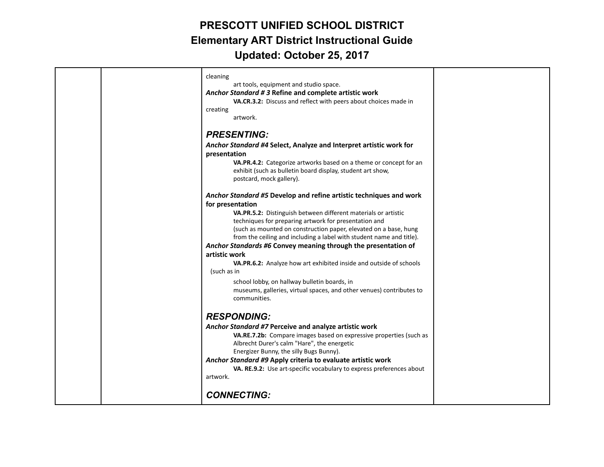|  | cleaning<br>art tools, equipment and studio space.<br>Anchor Standard #3 Refine and complete artistic work<br>VA.CR.3.2: Discuss and reflect with peers about choices made in<br>creating<br>artwork.                                                                                                                                                                                                                                                                                                                                                                                                                                                                         |  |
|--|-------------------------------------------------------------------------------------------------------------------------------------------------------------------------------------------------------------------------------------------------------------------------------------------------------------------------------------------------------------------------------------------------------------------------------------------------------------------------------------------------------------------------------------------------------------------------------------------------------------------------------------------------------------------------------|--|
|  | <b>PRESENTING:</b><br>Anchor Standard #4 Select, Analyze and Interpret artistic work for<br>presentation<br>VA.PR.4.2: Categorize artworks based on a theme or concept for an<br>exhibit (such as bulletin board display, student art show,<br>postcard, mock gallery).                                                                                                                                                                                                                                                                                                                                                                                                       |  |
|  | Anchor Standard #5 Develop and refine artistic techniques and work<br>for presentation<br>VA.PR.5.2: Distinguish between different materials or artistic<br>techniques for preparing artwork for presentation and<br>(such as mounted on construction paper, elevated on a base, hung<br>from the ceiling and including a label with student name and title).<br>Anchor Standards #6 Convey meaning through the presentation of<br>artistic work<br>VA.PR.6.2: Analyze how art exhibited inside and outside of schools<br>(such as in<br>school lobby, on hallway bulletin boards, in<br>museums, galleries, virtual spaces, and other venues) contributes to<br>communities. |  |
|  | <b>RESPONDING:</b><br>Anchor Standard #7 Perceive and analyze artistic work<br>VA.RE.7.2b: Compare images based on expressive properties (such as<br>Albrecht Durer's calm "Hare", the energetic<br>Energizer Bunny, the silly Bugs Bunny).<br>Anchor Standard #9 Apply criteria to evaluate artistic work<br>VA. RE.9.2: Use art-specific vocabulary to express preferences about<br>artwork.<br><b>CONNECTING:</b>                                                                                                                                                                                                                                                          |  |
|  |                                                                                                                                                                                                                                                                                                                                                                                                                                                                                                                                                                                                                                                                               |  |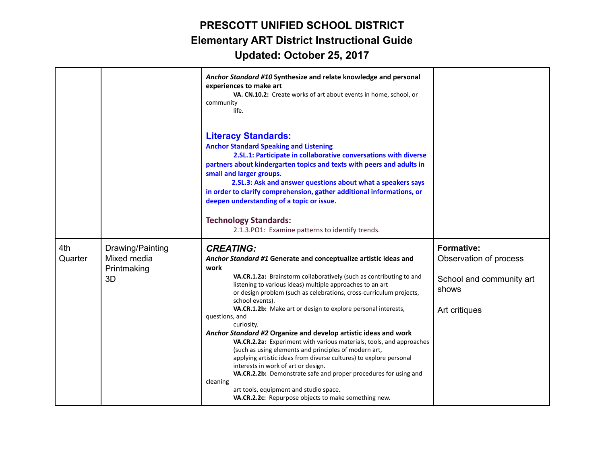|                |                                                | Anchor Standard #10 Synthesize and relate knowledge and personal<br>experiences to make art<br>VA. CN.10.2: Create works of art about events in home, school, or<br>community<br>life.                                                                                                                                                                                                                                                                                   |                                             |
|----------------|------------------------------------------------|--------------------------------------------------------------------------------------------------------------------------------------------------------------------------------------------------------------------------------------------------------------------------------------------------------------------------------------------------------------------------------------------------------------------------------------------------------------------------|---------------------------------------------|
|                |                                                | <b>Literacy Standards:</b><br><b>Anchor Standard Speaking and Listening</b><br>2.SL.1: Participate in collaborative conversations with diverse<br>partners about kindergarten topics and texts with peers and adults in<br>small and larger groups.<br>2.SL.3: Ask and answer questions about what a speakers says<br>in order to clarify comprehension, gather additional informations, or<br>deepen understanding of a topic or issue.<br><b>Technology Standards:</b> |                                             |
|                |                                                | 2.1.3. PO1: Examine patterns to identify trends.                                                                                                                                                                                                                                                                                                                                                                                                                         |                                             |
| 4th<br>Quarter | Drawing/Painting<br>Mixed media<br>Printmaking | <b>CREATING:</b><br>Anchor Standard #1 Generate and conceptualize artistic ideas and<br>work                                                                                                                                                                                                                                                                                                                                                                             | <b>Formative:</b><br>Observation of process |
|                | 3D                                             | VA.CR.1.2a: Brainstorm collaboratively (such as contributing to and<br>listening to various ideas) multiple approaches to an art<br>or design problem (such as celebrations, cross-curriculum projects,<br>school events).                                                                                                                                                                                                                                               | School and community art<br>shows           |
|                |                                                | VA.CR.1.2b: Make art or design to explore personal interests,<br>questions, and<br>curiosity.                                                                                                                                                                                                                                                                                                                                                                            | Art critiques                               |
|                |                                                | Anchor Standard #2 Organize and develop artistic ideas and work<br>VA.CR.2.2a: Experiment with various materials, tools, and approaches<br>(such as using elements and principles of modern art,<br>applying artistic ideas from diverse cultures) to explore personal<br>interests in work of art or design.<br>VA.CR.2.2b: Demonstrate safe and proper procedures for using and<br>cleaning<br>art tools, equipment and studio space.                                  |                                             |
|                |                                                | VA.CR.2.2c: Repurpose objects to make something new.                                                                                                                                                                                                                                                                                                                                                                                                                     |                                             |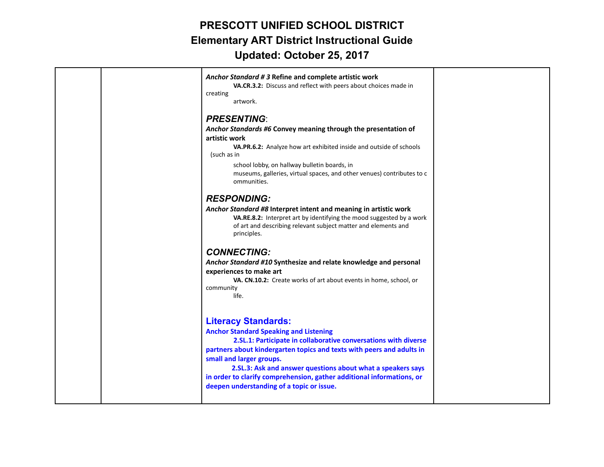